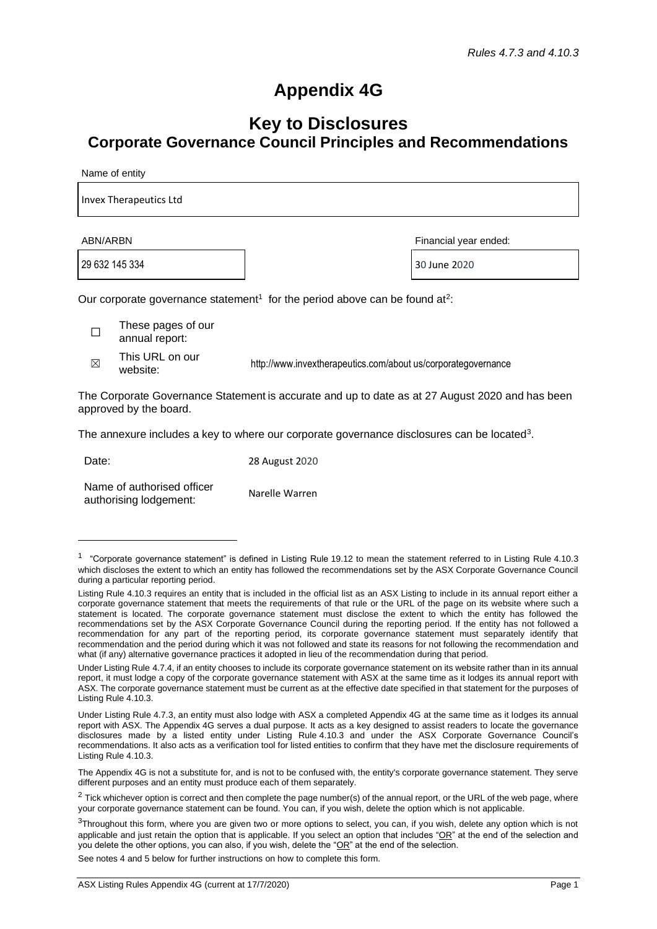## **Appendix 4G**

## **Key to Disclosures Corporate Governance Council Principles and Recommendations**

Name of entity

| <b>Invex Therapeutics Ltd</b> |  |  |  |
|-------------------------------|--|--|--|
|                               |  |  |  |

29 632 145 334 30 June 2020

ABN/ARBN Financial year ended:

Our corporate governance statement<sup>1</sup> for the period above can be found at<sup>2</sup>:

- $\Box$ These pages of our annual report:
- $\boxtimes$ This URL on our

website: website: http://www.invextherapeutics.com/about us/corporategovernance

The Corporate Governance Statementis accurate and up to date as at 27 August 2020 and has been approved by the board.

The annexure includes a key to where our corporate governance disclosures can be located<sup>3</sup>.

| Date: | 28 August 2020 |
|-------|----------------|
|       |                |

Name of authorised officer Name of authorised officer authorising lodgement:

See notes 4 and 5 below for further instructions on how to complete this form.

 $1$  "Corporate governance statement" is defined in Listing Rule 19.12 to mean the statement referred to in Listing Rule 4.10.3 which discloses the extent to which an entity has followed the recommendations set by the ASX Corporate Governance Council during a particular reporting period.

Listing Rule 4.10.3 requires an entity that is included in the official list as an ASX Listing to include in its annual report either a corporate governance statement that meets the requirements of that rule or the URL of the page on its website where such a statement is located. The corporate governance statement must disclose the extent to which the entity has followed the recommendations set by the ASX Corporate Governance Council during the reporting period. If the entity has not followed a recommendation for any part of the reporting period, its corporate governance statement must separately identify that recommendation and the period during which it was not followed and state its reasons for not following the recommendation and what (if any) alternative governance practices it adopted in lieu of the recommendation during that period.

Under Listing Rule 4.7.4, if an entity chooses to include its corporate governance statement on its website rather than in its annual report, it must lodge a copy of the corporate governance statement with ASX at the same time as it lodges its annual report with ASX. The corporate governance statement must be current as at the effective date specified in that statement for the purposes of Listing Rule 4.10.3.

Under Listing Rule 4.7.3, an entity must also lodge with ASX a completed Appendix 4G at the same time as it lodges its annual report with ASX. The Appendix 4G serves a dual purpose. It acts as a key designed to assist readers to locate the governance disclosures made by a listed entity under Listing Rule 4.10.3 and under the ASX Corporate Governance Council's recommendations. It also acts as a verification tool for listed entities to confirm that they have met the disclosure requirements of Listing Rule 4.10.3.

The Appendix 4G is not a substitute for, and is not to be confused with, the entity's corporate governance statement. They serve different purposes and an entity must produce each of them separately.

 $2$  Tick whichever option is correct and then complete the page number(s) of the annual report, or the URL of the web page, where your corporate governance statement can be found. You can, if you wish, delete the option which is not applicable.

 $3$ Throughout this form, where you are given two or more options to select, you can, if you wish, delete any option which is not applicable and just retain the option that is applicable. If you select an option that includes " $OR$ " at the end of the selection and you delete the other options, you can also, if you wish, delete the "OR" at the end of the selection.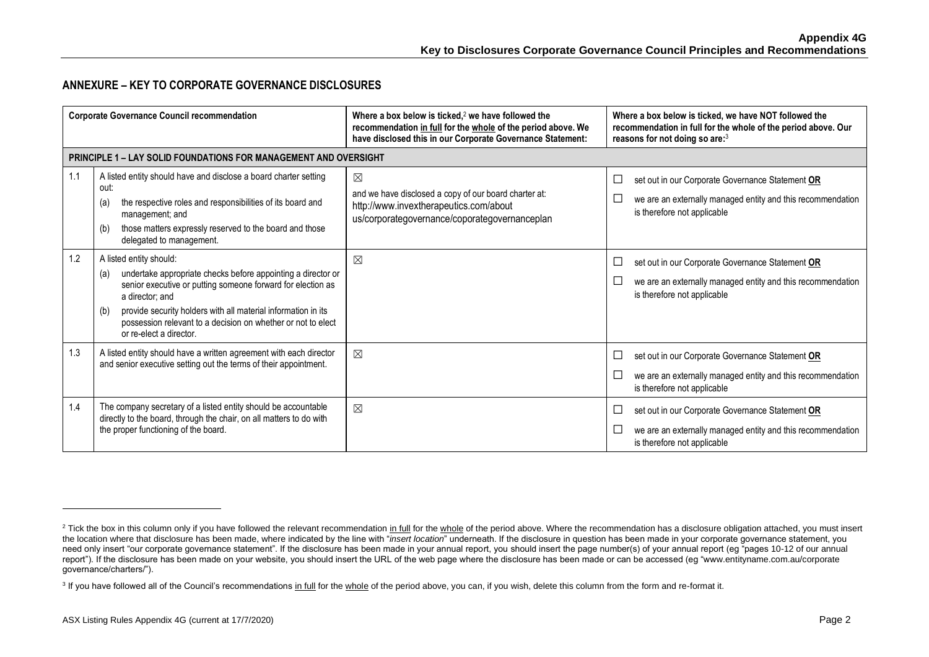## **ANNEXURE – KEY TO CORPORATE GOVERNANCE DISCLOSURES**

|     | <b>Corporate Governance Council recommendation</b>                                                                                                                                                                                                                                                                                                  | Where a box below is ticked, $2$ we have followed the<br>recommendation in full for the whole of the period above. We<br>have disclosed this in our Corporate Governance Statement: | Where a box below is ticked, we have NOT followed the<br>recommendation in full for the whole of the period above. Our<br>reasons for not doing so are:3      |
|-----|-----------------------------------------------------------------------------------------------------------------------------------------------------------------------------------------------------------------------------------------------------------------------------------------------------------------------------------------------------|-------------------------------------------------------------------------------------------------------------------------------------------------------------------------------------|---------------------------------------------------------------------------------------------------------------------------------------------------------------|
|     | <b>PRINCIPLE 1 – LAY SOLID FOUNDATIONS FOR MANAGEMENT AND OVERSIGHT</b>                                                                                                                                                                                                                                                                             |                                                                                                                                                                                     |                                                                                                                                                               |
| 1.1 | A listed entity should have and disclose a board charter setting<br>out:<br>the respective roles and responsibilities of its board and<br>(a)<br>management; and<br>those matters expressly reserved to the board and those<br>(b)<br>delegated to management.                                                                                      | ⊠<br>and we have disclosed a copy of our board charter at:<br>http://www.invextherapeutics.com/about<br>us/corporategovernance/coporategovernanceplan                               | set out in our Corporate Governance Statement OR<br>$\Box$<br>we are an externally managed entity and this recommendation<br>L<br>is therefore not applicable |
| 1.2 | A listed entity should:<br>undertake appropriate checks before appointing a director or<br>(a)<br>senior executive or putting someone forward for election as<br>a director; and<br>provide security holders with all material information in its<br>(b)<br>possession relevant to a decision on whether or not to elect<br>or re-elect a director. | $\boxtimes$                                                                                                                                                                         | set out in our Corporate Governance Statement OR<br>$\Box$<br>we are an externally managed entity and this recommendation<br>ப<br>is therefore not applicable |
| 1.3 | A listed entity should have a written agreement with each director<br>and senior executive setting out the terms of their appointment.                                                                                                                                                                                                              | $\boxtimes$                                                                                                                                                                         | set out in our Corporate Governance Statement OR<br>$\Box$<br>we are an externally managed entity and this recommendation<br>is therefore not applicable      |
| 1.4 | The company secretary of a listed entity should be accountable<br>directly to the board, through the chair, on all matters to do with<br>the proper functioning of the board.                                                                                                                                                                       | $\boxtimes$                                                                                                                                                                         | set out in our Corporate Governance Statement OR<br>Ш<br>we are an externally managed entity and this recommendation<br>ப<br>is therefore not applicable      |

<sup>&</sup>lt;sup>2</sup> Tick the box in this column only if you have followed the relevant recommendation in full for the whole of the period above. Where the recommendation has a disclosure obligation attached, you must insert the location where that disclosure has been made, where indicated by the line with "*insert location*" underneath. If the disclosure in question has been made in your corporate governance statement, you need only insert "our corporate governance statement". If the disclosure has been made in your annual report, you should insert the page number(s) of your annual report (eg "pages 10-12 of our annual report"). If the disclosure has been made on your website, you should insert the URL of the web page where the disclosure has been made or can be accessed (eg "www.entityname.com.au/corporate governance/charters/").

<sup>&</sup>lt;sup>3</sup> If you have followed all of the Council's recommendations in full for the whole of the period above, you can, if you wish, delete this column from the form and re-format it.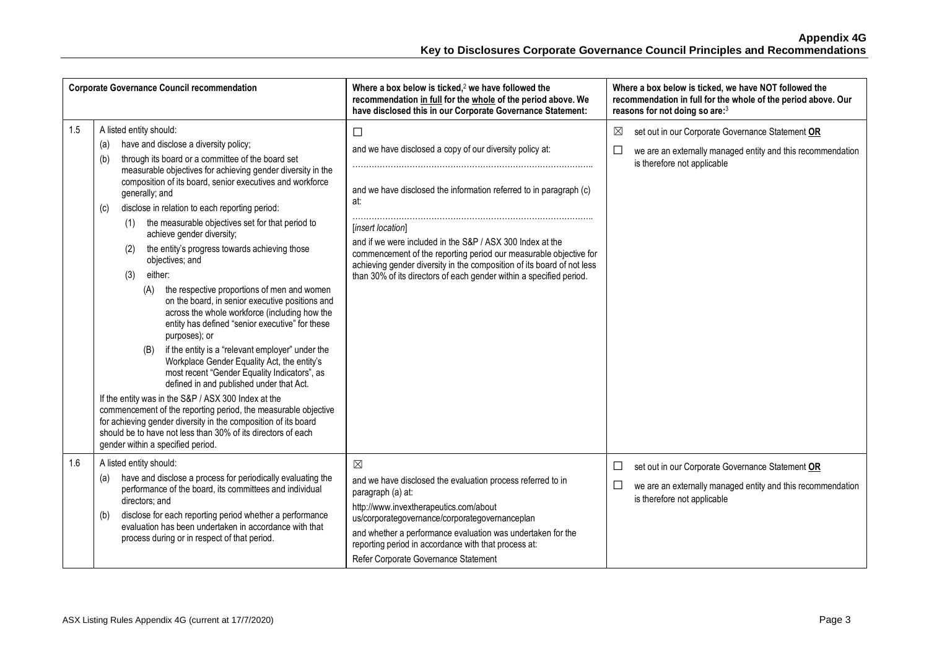|     | <b>Corporate Governance Council recommendation</b>                                                                                                                                                                                                                                                                                                                                                                                                                                                                                                                                                                                                                                                                                                                                                                                                                                                                                                                                                                                                                                                                                                                                                                                                                  | Where a box below is ticked, $2$ we have followed the<br>recommendation in full for the whole of the period above. We<br>have disclosed this in our Corporate Governance Statement:                                                                                                                                                                                                                                                                | Where a box below is ticked, we have NOT followed the<br>recommendation in full for the whole of the period above. Our<br>reasons for not doing so are:3           |
|-----|---------------------------------------------------------------------------------------------------------------------------------------------------------------------------------------------------------------------------------------------------------------------------------------------------------------------------------------------------------------------------------------------------------------------------------------------------------------------------------------------------------------------------------------------------------------------------------------------------------------------------------------------------------------------------------------------------------------------------------------------------------------------------------------------------------------------------------------------------------------------------------------------------------------------------------------------------------------------------------------------------------------------------------------------------------------------------------------------------------------------------------------------------------------------------------------------------------------------------------------------------------------------|----------------------------------------------------------------------------------------------------------------------------------------------------------------------------------------------------------------------------------------------------------------------------------------------------------------------------------------------------------------------------------------------------------------------------------------------------|--------------------------------------------------------------------------------------------------------------------------------------------------------------------|
| 1.5 | A listed entity should:<br>have and disclose a diversity policy;<br>(a)<br>through its board or a committee of the board set<br>(b)<br>measurable objectives for achieving gender diversity in the<br>composition of its board, senior executives and workforce<br>generally; and<br>disclose in relation to each reporting period:<br>(c)<br>the measurable objectives set for that period to<br>(1)<br>achieve gender diversity;<br>the entity's progress towards achieving those<br>(2)<br>objectives; and<br>either:<br>(3)<br>the respective proportions of men and women<br>(A)<br>on the board, in senior executive positions and<br>across the whole workforce (including how the<br>entity has defined "senior executive" for these<br>purposes); or<br>if the entity is a "relevant employer" under the<br>(B)<br>Workplace Gender Equality Act, the entity's<br>most recent "Gender Equality Indicators", as<br>defined in and published under that Act.<br>If the entity was in the S&P / ASX 300 Index at the<br>commencement of the reporting period, the measurable objective<br>for achieving gender diversity in the composition of its board<br>should be to have not less than 30% of its directors of each<br>gender within a specified period. | □<br>and we have disclosed a copy of our diversity policy at:<br>and we have disclosed the information referred to in paragraph (c)<br>at:<br>[insert location]<br>and if we were included in the S&P / ASX 300 Index at the<br>commencement of the reporting period our measurable objective for<br>achieving gender diversity in the composition of its board of not less<br>than 30% of its directors of each gender within a specified period. | $\boxtimes$<br>set out in our Corporate Governance Statement OR<br>□<br>we are an externally managed entity and this recommendation<br>is therefore not applicable |
| 1.6 | A listed entity should:<br>have and disclose a process for periodically evaluating the<br>(a)<br>performance of the board, its committees and individual<br>directors; and<br>disclose for each reporting period whether a performance<br>(b)<br>evaluation has been undertaken in accordance with that<br>process during or in respect of that period.                                                                                                                                                                                                                                                                                                                                                                                                                                                                                                                                                                                                                                                                                                                                                                                                                                                                                                             | $\boxtimes$<br>and we have disclosed the evaluation process referred to in<br>paragraph (a) at:<br>http://www.invextherapeutics.com/about<br>us/corporategovernance/corporategovernanceplan<br>and whether a performance evaluation was undertaken for the<br>reporting period in accordance with that process at:<br>Refer Corporate Governance Statement                                                                                         | set out in our Corporate Governance Statement OR<br>$\Box$<br>$\Box$<br>we are an externally managed entity and this recommendation<br>is therefore not applicable |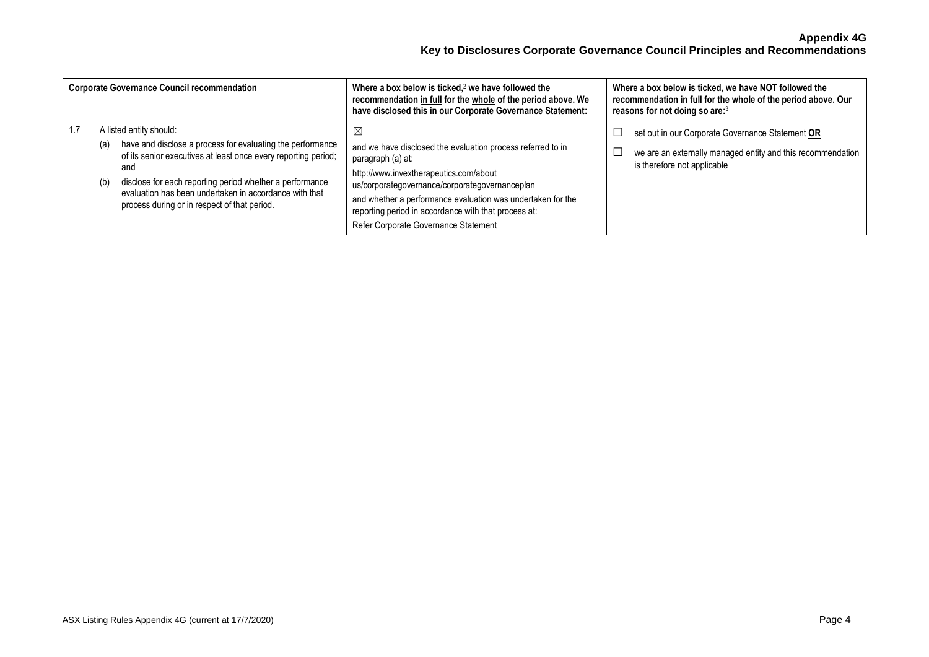| <b>Corporate Governance Council recommendation</b>                                                                                                                                                                                                                                                                                                 | Where a box below is ticked, $2$ we have followed the<br>recommendation in full for the whole of the period above. We<br>have disclosed this in our Corporate Governance Statement:                                                                                                                                                              | Where a box below is ticked, we have NOT followed the<br>recommendation in full for the whole of the period above. Our<br>reasons for not doing so are: <sup>3</sup> |
|----------------------------------------------------------------------------------------------------------------------------------------------------------------------------------------------------------------------------------------------------------------------------------------------------------------------------------------------------|--------------------------------------------------------------------------------------------------------------------------------------------------------------------------------------------------------------------------------------------------------------------------------------------------------------------------------------------------|----------------------------------------------------------------------------------------------------------------------------------------------------------------------|
| A listed entity should:<br>have and disclose a process for evaluating the performance<br>(a)<br>of its senior executives at least once every reporting period;<br>and<br>disclose for each reporting period whether a performance<br>(b)<br>evaluation has been undertaken in accordance with that<br>process during or in respect of that period. | X<br>and we have disclosed the evaluation process referred to in<br>paragraph (a) at:<br>http://www.invextherapeutics.com/about<br>us/corporategovernance/corporategovernanceplan<br>and whether a performance evaluation was undertaken for the<br>reporting period in accordance with that process at:<br>Refer Corporate Governance Statement | set out in our Corporate Governance Statement OR<br>we are an externally managed entity and this recommendation<br>is therefore not applicable                       |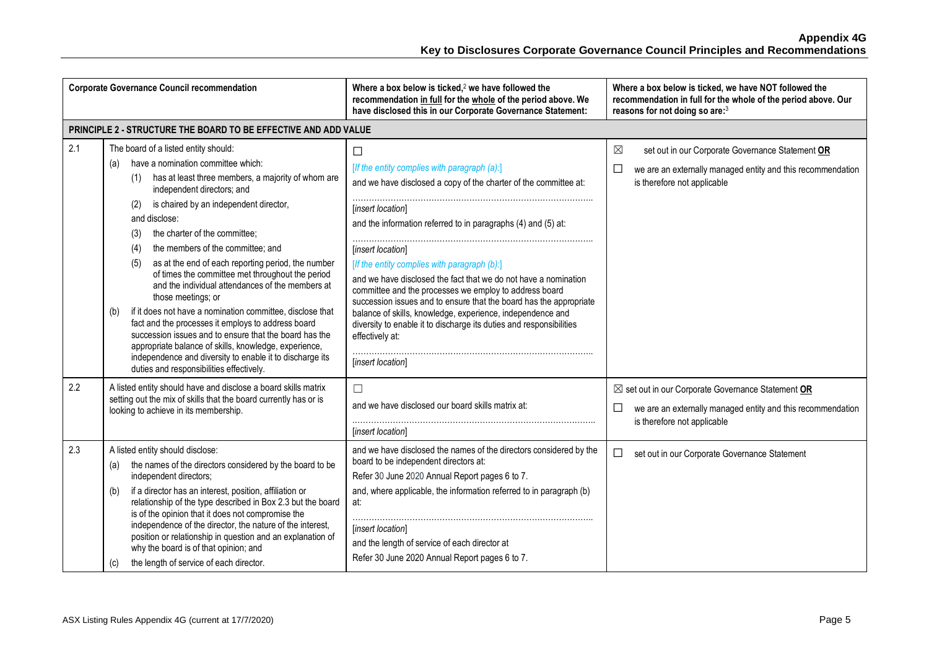|     | <b>Corporate Governance Council recommendation</b>                                                                                                                                                                                                                                                                                                                                                                                                                                                                                                                                                                                                                                                                                                                                                                                                                                 | Where a box below is ticked, $2$ we have followed the<br>recommendation in full for the whole of the period above. We<br>have disclosed this in our Corporate Governance Statement:                                                                                                                                                                                                                                                                                                                                                                                                                                                                              | Where a box below is ticked, we have NOT followed the<br>recommendation in full for the whole of the period above. Our<br>reasons for not doing so are:3                |
|-----|------------------------------------------------------------------------------------------------------------------------------------------------------------------------------------------------------------------------------------------------------------------------------------------------------------------------------------------------------------------------------------------------------------------------------------------------------------------------------------------------------------------------------------------------------------------------------------------------------------------------------------------------------------------------------------------------------------------------------------------------------------------------------------------------------------------------------------------------------------------------------------|------------------------------------------------------------------------------------------------------------------------------------------------------------------------------------------------------------------------------------------------------------------------------------------------------------------------------------------------------------------------------------------------------------------------------------------------------------------------------------------------------------------------------------------------------------------------------------------------------------------------------------------------------------------|-------------------------------------------------------------------------------------------------------------------------------------------------------------------------|
|     | PRINCIPLE 2 - STRUCTURE THE BOARD TO BE EFFECTIVE AND ADD VALUE                                                                                                                                                                                                                                                                                                                                                                                                                                                                                                                                                                                                                                                                                                                                                                                                                    |                                                                                                                                                                                                                                                                                                                                                                                                                                                                                                                                                                                                                                                                  |                                                                                                                                                                         |
| 2.1 | The board of a listed entity should:<br>have a nomination committee which:<br>(a)<br>has at least three members, a majority of whom are<br>(1)<br>independent directors; and<br>is chaired by an independent director,<br>(2)<br>and disclose:<br>the charter of the committee;<br>(3)<br>the members of the committee; and<br>(4)<br>as at the end of each reporting period, the number<br>(5)<br>of times the committee met throughout the period<br>and the individual attendances of the members at<br>those meetings; or<br>if it does not have a nomination committee, disclose that<br>(b)<br>fact and the processes it employs to address board<br>succession issues and to ensure that the board has the<br>appropriate balance of skills, knowledge, experience,<br>independence and diversity to enable it to discharge its<br>duties and responsibilities effectively. | □<br>[If the entity complies with paragraph (a):]<br>and we have disclosed a copy of the charter of the committee at:<br>[insert location]<br>and the information referred to in paragraphs (4) and (5) at:<br>[insert location]<br>[If the entity complies with paragraph (b):]<br>and we have disclosed the fact that we do not have a nomination<br>committee and the processes we employ to address board<br>succession issues and to ensure that the board has the appropriate<br>balance of skills, knowledge, experience, independence and<br>diversity to enable it to discharge its duties and responsibilities<br>effectively at:<br>[insert location] | $\boxtimes$<br>set out in our Corporate Governance Statement OR<br>$\Box$<br>we are an externally managed entity and this recommendation<br>is therefore not applicable |
| 2.2 | A listed entity should have and disclose a board skills matrix<br>setting out the mix of skills that the board currently has or is<br>looking to achieve in its membership.                                                                                                                                                                                                                                                                                                                                                                                                                                                                                                                                                                                                                                                                                                        | П<br>and we have disclosed our board skills matrix at:<br>[insert location]                                                                                                                                                                                                                                                                                                                                                                                                                                                                                                                                                                                      | $\boxtimes$ set out in our Corporate Governance Statement OR<br>$\Box$<br>we are an externally managed entity and this recommendation<br>is therefore not applicable    |
| 2.3 | A listed entity should disclose:<br>the names of the directors considered by the board to be<br>(a)<br>independent directors;<br>if a director has an interest, position, affiliation or<br>(b)<br>relationship of the type described in Box 2.3 but the board<br>is of the opinion that it does not compromise the<br>independence of the director, the nature of the interest,<br>position or relationship in question and an explanation of<br>why the board is of that opinion; and<br>the length of service of each director.<br>(C)                                                                                                                                                                                                                                                                                                                                          | and we have disclosed the names of the directors considered by the<br>board to be independent directors at:<br>Refer 30 June 2020 Annual Report pages 6 to 7.<br>and, where applicable, the information referred to in paragraph (b)<br>at:<br>[insert location]<br>and the length of service of each director at<br>Refer 30 June 2020 Annual Report pages 6 to 7.                                                                                                                                                                                                                                                                                              | set out in our Corporate Governance Statement<br>□                                                                                                                      |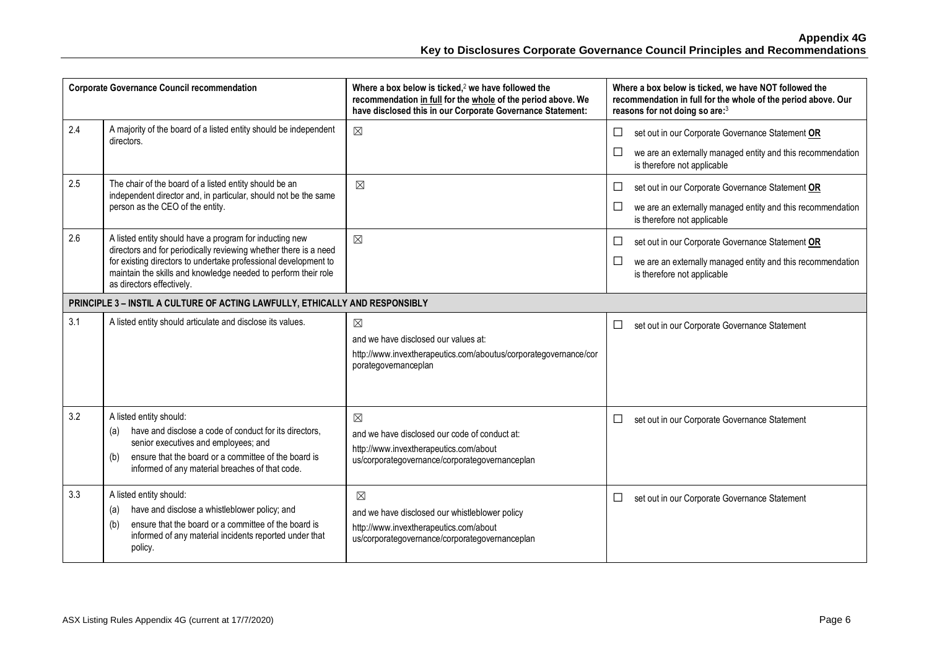|     | <b>Corporate Governance Council recommendation</b>                                                                                                                                                                                                                                            | Where a box below is ticked, <sup>2</sup> we have followed the<br>recommendation in full for the whole of the period above. We<br>have disclosed this in our Corporate Governance Statement: | Where a box below is ticked, we have NOT followed the<br>recommendation in full for the whole of the period above. Our<br>reasons for not doing so are:3           |
|-----|-----------------------------------------------------------------------------------------------------------------------------------------------------------------------------------------------------------------------------------------------------------------------------------------------|----------------------------------------------------------------------------------------------------------------------------------------------------------------------------------------------|--------------------------------------------------------------------------------------------------------------------------------------------------------------------|
| 2.4 | A majority of the board of a listed entity should be independent<br>directors.                                                                                                                                                                                                                | $\boxtimes$                                                                                                                                                                                  | $\Box$<br>set out in our Corporate Governance Statement OR<br>$\Box$<br>we are an externally managed entity and this recommendation<br>is therefore not applicable |
| 2.5 | The chair of the board of a listed entity should be an<br>independent director and, in particular, should not be the same<br>person as the CEO of the entity.                                                                                                                                 | $\boxtimes$                                                                                                                                                                                  | $\Box$<br>set out in our Corporate Governance Statement OR<br>$\Box$<br>we are an externally managed entity and this recommendation<br>is therefore not applicable |
| 2.6 | A listed entity should have a program for inducting new<br>directors and for periodically reviewing whether there is a need<br>for existing directors to undertake professional development to<br>maintain the skills and knowledge needed to perform their role<br>as directors effectively. | $\boxtimes$                                                                                                                                                                                  | $\Box$<br>set out in our Corporate Governance Statement OR<br>$\Box$<br>we are an externally managed entity and this recommendation<br>is therefore not applicable |
|     | PRINCIPLE 3 - INSTIL A CULTURE OF ACTING LAWFULLY, ETHICALLY AND RESPONSIBLY                                                                                                                                                                                                                  |                                                                                                                                                                                              |                                                                                                                                                                    |
| 3.1 | A listed entity should articulate and disclose its values.                                                                                                                                                                                                                                    | $\boxtimes$<br>and we have disclosed our values at:<br>http://www.invextherapeutics.com/aboutus/corporategovernance/cor<br>porategovernanceplan                                              | $\Box$<br>set out in our Corporate Governance Statement                                                                                                            |
| 3.2 | A listed entity should:<br>have and disclose a code of conduct for its directors,<br>(a)<br>senior executives and employees; and<br>ensure that the board or a committee of the board is<br>(b)<br>informed of any material breaches of that code.                                            | $\boxtimes$<br>and we have disclosed our code of conduct at:<br>http://www.invextherapeutics.com/about<br>us/corporategovernance/corporategovernanceplan                                     | □<br>set out in our Corporate Governance Statement                                                                                                                 |
| 3.3 | A listed entity should:<br>have and disclose a whistleblower policy; and<br>(a)<br>ensure that the board or a committee of the board is<br>(b)<br>informed of any material incidents reported under that<br>policy.                                                                           | $\boxtimes$<br>and we have disclosed our whistleblower policy<br>http://www.invextherapeutics.com/about<br>us/corporategovernance/corporategovernanceplan                                    | $\Box$<br>set out in our Corporate Governance Statement                                                                                                            |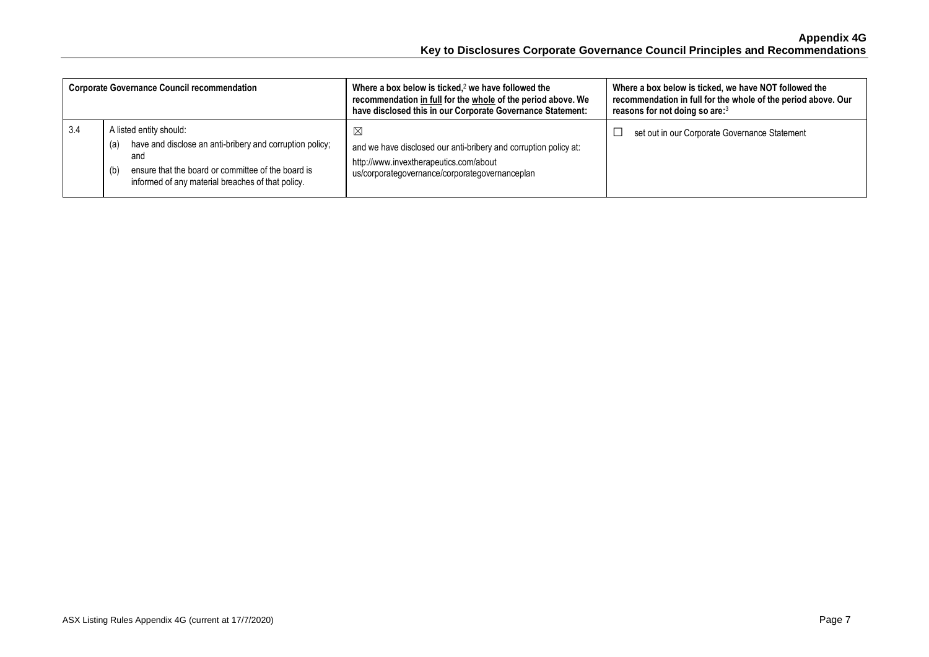|     | <b>Corporate Governance Council recommendation</b>                                                                                                                                                                  | Where a box below is ticked, $2$ we have followed the<br>recommendation in full for the whole of the period above. We<br>have disclosed this in our Corporate Governance Statement: | Where a box below is ticked, we have NOT followed the<br>recommendation in full for the whole of the period above. Our<br>reasons for not doing so are: <sup>3</sup> |
|-----|---------------------------------------------------------------------------------------------------------------------------------------------------------------------------------------------------------------------|-------------------------------------------------------------------------------------------------------------------------------------------------------------------------------------|----------------------------------------------------------------------------------------------------------------------------------------------------------------------|
| 3.4 | A listed entity should:<br>have and disclose an anti-bribery and corruption policy;<br>(a)<br>and<br>ensure that the board or committee of the board is<br>(b)<br>informed of any material breaches of that policy. | $\boxtimes$<br>and we have disclosed our anti-bribery and corruption policy at:<br>http://www.invextherapeutics.com/about<br>us/corporategovernance/corporategovernanceplan         | set out in our Corporate Governance Statement                                                                                                                        |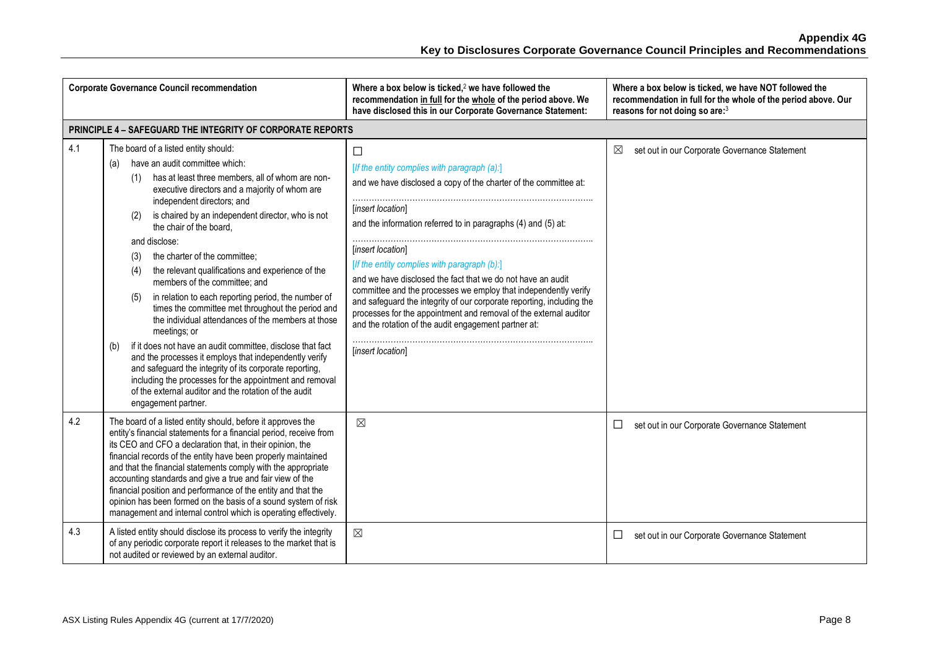|     | <b>Corporate Governance Council recommendation</b>                                                                                                                                                                                                                                                                                                                                                                                                                                                                                                                                                                                                                                                                                                                                                                                                                                                                                                                                                  | Where a box below is ticked, $2$ we have followed the<br>recommendation in full for the whole of the period above. We<br>have disclosed this in our Corporate Governance Statement:                                                                                                                                                                                                                                                                                                                                                                                                                                                                | Where a box below is ticked, we have NOT followed the<br>recommendation in full for the whole of the period above. Our<br>reasons for not doing so are:3 |
|-----|-----------------------------------------------------------------------------------------------------------------------------------------------------------------------------------------------------------------------------------------------------------------------------------------------------------------------------------------------------------------------------------------------------------------------------------------------------------------------------------------------------------------------------------------------------------------------------------------------------------------------------------------------------------------------------------------------------------------------------------------------------------------------------------------------------------------------------------------------------------------------------------------------------------------------------------------------------------------------------------------------------|----------------------------------------------------------------------------------------------------------------------------------------------------------------------------------------------------------------------------------------------------------------------------------------------------------------------------------------------------------------------------------------------------------------------------------------------------------------------------------------------------------------------------------------------------------------------------------------------------------------------------------------------------|----------------------------------------------------------------------------------------------------------------------------------------------------------|
|     | PRINCIPLE 4 - SAFEGUARD THE INTEGRITY OF CORPORATE REPORTS                                                                                                                                                                                                                                                                                                                                                                                                                                                                                                                                                                                                                                                                                                                                                                                                                                                                                                                                          |                                                                                                                                                                                                                                                                                                                                                                                                                                                                                                                                                                                                                                                    |                                                                                                                                                          |
| 4.1 | The board of a listed entity should:<br>have an audit committee which:<br>(a)<br>has at least three members, all of whom are non-<br>(1)<br>executive directors and a majority of whom are<br>independent directors; and<br>is chaired by an independent director, who is not<br>(2)<br>the chair of the board.<br>and disclose:<br>the charter of the committee;<br>(3)<br>the relevant qualifications and experience of the<br>(4)<br>members of the committee; and<br>in relation to each reporting period, the number of<br>(5)<br>times the committee met throughout the period and<br>the individual attendances of the members at those<br>meetings; or<br>if it does not have an audit committee, disclose that fact<br>(b)<br>and the processes it employs that independently verify<br>and safeguard the integrity of its corporate reporting,<br>including the processes for the appointment and removal<br>of the external auditor and the rotation of the audit<br>engagement partner. | $\Box$<br>[If the entity complies with paragraph (a):]<br>and we have disclosed a copy of the charter of the committee at:<br>[insert location]<br>and the information referred to in paragraphs (4) and (5) at:<br>[insert location]<br>[If the entity complies with paragraph (b):]<br>and we have disclosed the fact that we do not have an audit<br>committee and the processes we employ that independently verify<br>and safeguard the integrity of our corporate reporting, including the<br>processes for the appointment and removal of the external auditor<br>and the rotation of the audit engagement partner at:<br>[insert location] | ⊠<br>set out in our Corporate Governance Statement                                                                                                       |
| 4.2 | The board of a listed entity should, before it approves the<br>entity's financial statements for a financial period, receive from<br>its CEO and CFO a declaration that, in their opinion, the<br>financial records of the entity have been properly maintained<br>and that the financial statements comply with the appropriate<br>accounting standards and give a true and fair view of the<br>financial position and performance of the entity and that the<br>opinion has been formed on the basis of a sound system of risk<br>management and internal control which is operating effectively.                                                                                                                                                                                                                                                                                                                                                                                                 | $\boxtimes$                                                                                                                                                                                                                                                                                                                                                                                                                                                                                                                                                                                                                                        | set out in our Corporate Governance Statement<br>$\Box$                                                                                                  |
| 4.3 | A listed entity should disclose its process to verify the integrity<br>of any periodic corporate report it releases to the market that is<br>not audited or reviewed by an external auditor.                                                                                                                                                                                                                                                                                                                                                                                                                                                                                                                                                                                                                                                                                                                                                                                                        | $\boxtimes$                                                                                                                                                                                                                                                                                                                                                                                                                                                                                                                                                                                                                                        | set out in our Corporate Governance Statement<br>$\Box$                                                                                                  |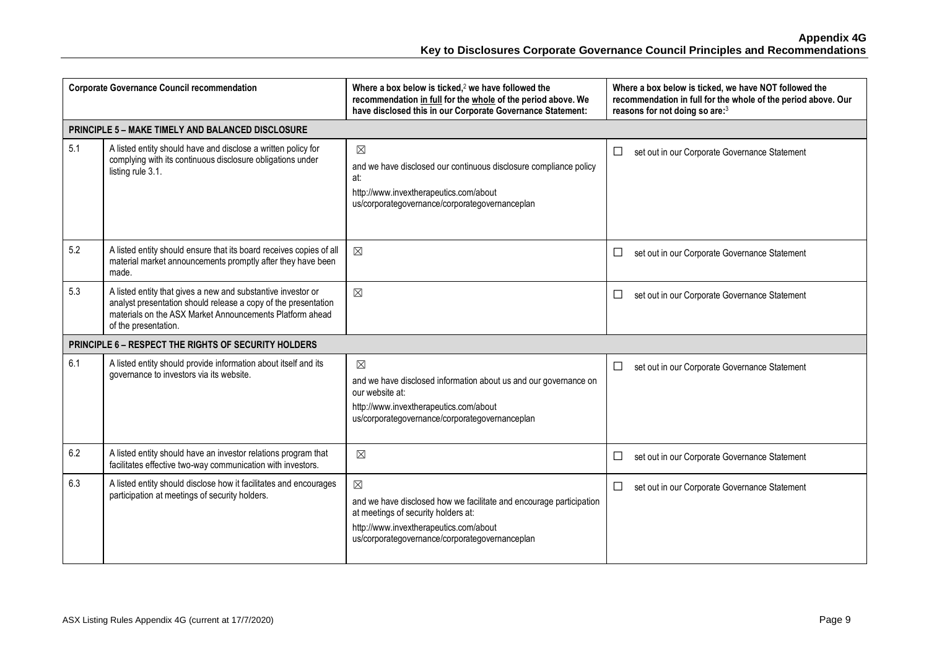| <b>Corporate Governance Council recommendation</b> |                                                                                                                                                                                                                    | Where a box below is ticked, $2$ we have followed the<br>recommendation in full for the whole of the period above. We<br>have disclosed this in our Corporate Governance Statement:                                   | Where a box below is ticked, we have NOT followed the<br>recommendation in full for the whole of the period above. Our<br>reasons for not doing so are:3 |
|----------------------------------------------------|--------------------------------------------------------------------------------------------------------------------------------------------------------------------------------------------------------------------|-----------------------------------------------------------------------------------------------------------------------------------------------------------------------------------------------------------------------|----------------------------------------------------------------------------------------------------------------------------------------------------------|
|                                                    | <b>PRINCIPLE 5 - MAKE TIMELY AND BALANCED DISCLOSURE</b>                                                                                                                                                           |                                                                                                                                                                                                                       |                                                                                                                                                          |
| 5.1                                                | A listed entity should have and disclose a written policy for<br>complying with its continuous disclosure obligations under<br>listing rule 3.1.                                                                   | $\boxtimes$<br>and we have disclosed our continuous disclosure compliance policy<br>at:<br>http://www.invextherapeutics.com/about<br>us/corporategovernance/corporategovernanceplan                                   | $\Box$<br>set out in our Corporate Governance Statement                                                                                                  |
| 5.2                                                | A listed entity should ensure that its board receives copies of all<br>material market announcements promptly after they have been<br>made.                                                                        | $\boxtimes$                                                                                                                                                                                                           | $\Box$<br>set out in our Corporate Governance Statement                                                                                                  |
| 5.3                                                | A listed entity that gives a new and substantive investor or<br>analyst presentation should release a copy of the presentation<br>materials on the ASX Market Announcements Platform ahead<br>of the presentation. | $\boxtimes$                                                                                                                                                                                                           | □<br>set out in our Corporate Governance Statement                                                                                                       |
|                                                    | PRINCIPLE 6 - RESPECT THE RIGHTS OF SECURITY HOLDERS                                                                                                                                                               |                                                                                                                                                                                                                       |                                                                                                                                                          |
| 6.1                                                | A listed entity should provide information about itself and its<br>governance to investors via its website.                                                                                                        | $\boxtimes$<br>and we have disclosed information about us and our governance on<br>our website at:<br>http://www.invextherapeutics.com/about<br>us/corporategovernance/corporategovernanceplan                        | $\Box$<br>set out in our Corporate Governance Statement                                                                                                  |
| 6.2                                                | A listed entity should have an investor relations program that<br>facilitates effective two-way communication with investors.                                                                                      | $\boxtimes$                                                                                                                                                                                                           | □<br>set out in our Corporate Governance Statement                                                                                                       |
| 6.3                                                | A listed entity should disclose how it facilitates and encourages<br>participation at meetings of security holders.                                                                                                | $\boxtimes$<br>and we have disclosed how we facilitate and encourage participation<br>at meetings of security holders at:<br>http://www.invextherapeutics.com/about<br>us/corporategovernance/corporategovernanceplan | $\Box$<br>set out in our Corporate Governance Statement                                                                                                  |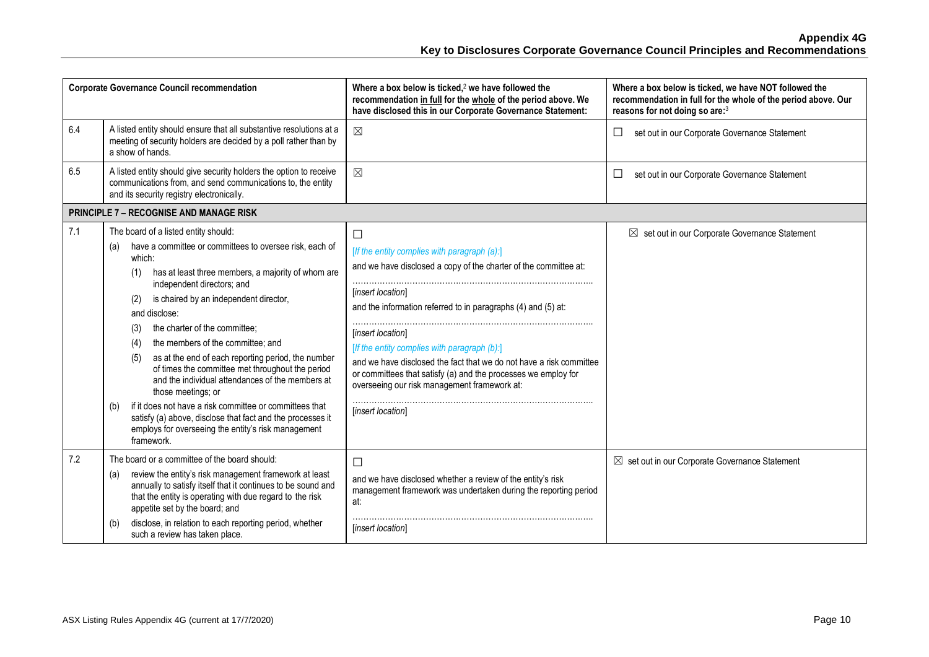|     | <b>Corporate Governance Council recommendation</b>                                                                                                                                                                                                                                                                                                                                                                                                                                                                                                                                                                                                                                                                                                                | Where a box below is ticked, $2$ we have followed the<br>recommendation in full for the whole of the period above. We<br>have disclosed this in our Corporate Governance Statement:                                                                                                                                                                                                                                                                                                                 | Where a box below is ticked, we have NOT followed the<br>recommendation in full for the whole of the period above. Our<br>reasons for not doing so are:3 |
|-----|-------------------------------------------------------------------------------------------------------------------------------------------------------------------------------------------------------------------------------------------------------------------------------------------------------------------------------------------------------------------------------------------------------------------------------------------------------------------------------------------------------------------------------------------------------------------------------------------------------------------------------------------------------------------------------------------------------------------------------------------------------------------|-----------------------------------------------------------------------------------------------------------------------------------------------------------------------------------------------------------------------------------------------------------------------------------------------------------------------------------------------------------------------------------------------------------------------------------------------------------------------------------------------------|----------------------------------------------------------------------------------------------------------------------------------------------------------|
| 6.4 | A listed entity should ensure that all substantive resolutions at a<br>meeting of security holders are decided by a poll rather than by<br>a show of hands.                                                                                                                                                                                                                                                                                                                                                                                                                                                                                                                                                                                                       | $\boxtimes$                                                                                                                                                                                                                                                                                                                                                                                                                                                                                         | set out in our Corporate Governance Statement<br>ப                                                                                                       |
| 6.5 | A listed entity should give security holders the option to receive<br>communications from, and send communications to, the entity<br>and its security registry electronically.                                                                                                                                                                                                                                                                                                                                                                                                                                                                                                                                                                                    | $\boxtimes$                                                                                                                                                                                                                                                                                                                                                                                                                                                                                         | set out in our Corporate Governance Statement<br>ப                                                                                                       |
|     | <b>PRINCIPLE 7 - RECOGNISE AND MANAGE RISK</b>                                                                                                                                                                                                                                                                                                                                                                                                                                                                                                                                                                                                                                                                                                                    |                                                                                                                                                                                                                                                                                                                                                                                                                                                                                                     |                                                                                                                                                          |
| 7.1 | The board of a listed entity should:<br>have a committee or committees to oversee risk, each of<br>(a)<br>which:<br>has at least three members, a majority of whom are<br>(1)<br>independent directors; and<br>is chaired by an independent director,<br>(2)<br>and disclose:<br>the charter of the committee;<br>(3)<br>the members of the committee; and<br>(4)<br>as at the end of each reporting period, the number<br>(5)<br>of times the committee met throughout the period<br>and the individual attendances of the members at<br>those meetings; or<br>if it does not have a risk committee or committees that<br>(b)<br>satisfy (a) above, disclose that fact and the processes it<br>employs for overseeing the entity's risk management<br>framework. | $\Box$<br>[If the entity complies with paragraph (a):]<br>and we have disclosed a copy of the charter of the committee at:<br>[insert location]<br>and the information referred to in paragraphs (4) and (5) at:<br>[insert location]<br>[If the entity complies with paragraph (b):]<br>and we have disclosed the fact that we do not have a risk committee<br>or committees that satisfy (a) and the processes we employ for<br>overseeing our risk management framework at:<br>[insert location] | $\boxtimes$ set out in our Corporate Governance Statement                                                                                                |
| 7.2 | The board or a committee of the board should:<br>review the entity's risk management framework at least<br>(a)<br>annually to satisfy itself that it continues to be sound and<br>that the entity is operating with due regard to the risk<br>appetite set by the board; and<br>disclose, in relation to each reporting period, whether                                                                                                                                                                                                                                                                                                                                                                                                                           | $\Box$<br>and we have disclosed whether a review of the entity's risk<br>management framework was undertaken during the reporting period<br>at:                                                                                                                                                                                                                                                                                                                                                     | $\boxtimes$ set out in our Corporate Governance Statement                                                                                                |
|     | (b)<br>such a review has taken place.                                                                                                                                                                                                                                                                                                                                                                                                                                                                                                                                                                                                                                                                                                                             | [insert location]                                                                                                                                                                                                                                                                                                                                                                                                                                                                                   |                                                                                                                                                          |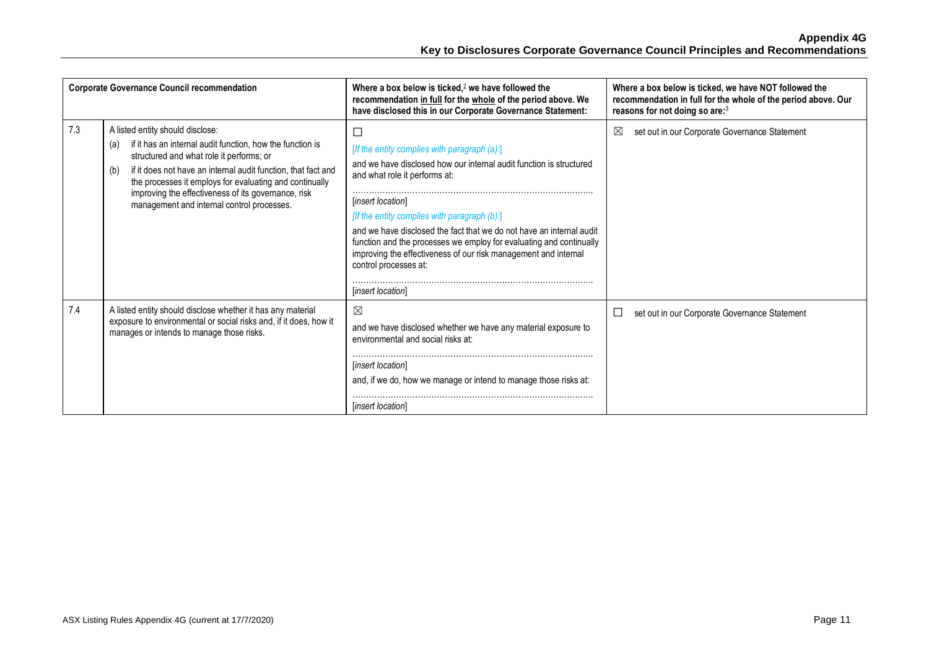|     | <b>Corporate Governance Council recommendation</b>                                                                                                                                                                                                                                                                                                                                       | Where a box below is ticked, $2$ we have followed the<br>recommendation in full for the whole of the period above. We<br>have disclosed this in our Corporate Governance Statement:                                                                                                                                                                                                                                                                                                                 | Where a box below is ticked, we have NOT followed the<br>recommendation in full for the whole of the period above. Our<br>reasons for not doing so are:3 |
|-----|------------------------------------------------------------------------------------------------------------------------------------------------------------------------------------------------------------------------------------------------------------------------------------------------------------------------------------------------------------------------------------------|-----------------------------------------------------------------------------------------------------------------------------------------------------------------------------------------------------------------------------------------------------------------------------------------------------------------------------------------------------------------------------------------------------------------------------------------------------------------------------------------------------|----------------------------------------------------------------------------------------------------------------------------------------------------------|
| 7.3 | A listed entity should disclose:<br>if it has an internal audit function, how the function is<br>(a)<br>structured and what role it performs; or<br>if it does not have an internal audit function, that fact and<br>(b)<br>the processes it employs for evaluating and continually<br>improving the effectiveness of its governance, risk<br>management and internal control processes. | $\Box$<br>[If the entity complies with paragraph (a):]<br>and we have disclosed how our internal audit function is structured<br>and what role it performs at:<br>[insert location]<br>[If the entity complies with paragraph (b):]<br>and we have disclosed the fact that we do not have an internal audit<br>function and the processes we employ for evaluating and continually<br>improving the effectiveness of our risk management and internal<br>control processes at:<br>[insert location] | set out in our Corporate Governance Statement<br>⊠                                                                                                       |
| 7.4 | A listed entity should disclose whether it has any material<br>exposure to environmental or social risks and, if it does, how it<br>manages or intends to manage those risks.                                                                                                                                                                                                            | $\boxtimes$<br>and we have disclosed whether we have any material exposure to<br>environmental and social risks at:<br><i>linsert location1</i><br>and, if we do, how we manage or intend to manage those risks at:<br><i>linsert location</i>                                                                                                                                                                                                                                                      | set out in our Corporate Governance Statement<br>⊔                                                                                                       |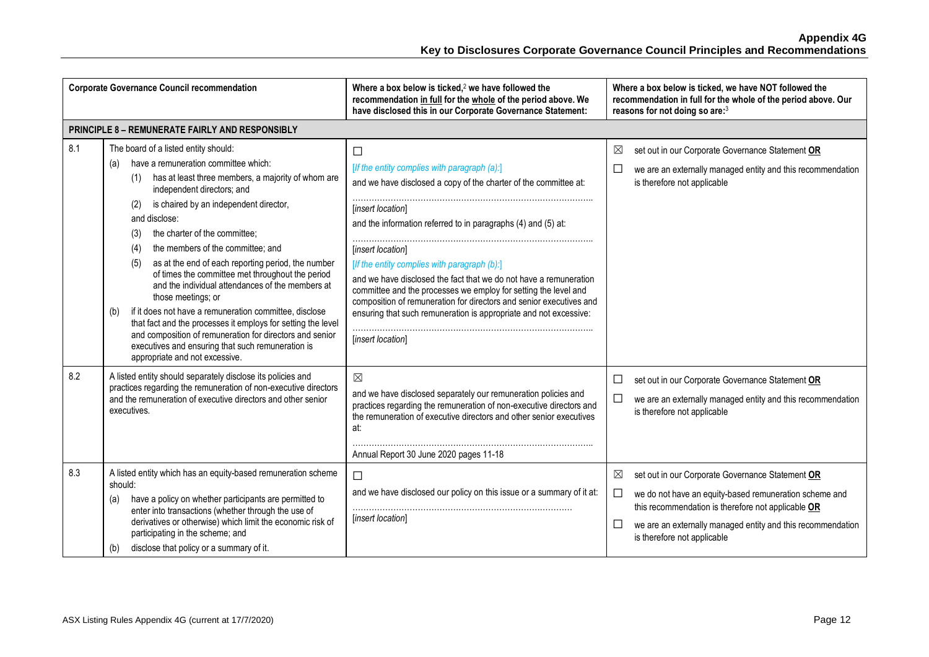| <b>Corporate Governance Council recommendation</b>     |                                                                                                                                                                                                                                                                                                                                                                                                                                                                                                                                                                                                                                                                                                                                                                                                                     | Where a box below is ticked, $2$ we have followed the<br>recommendation in full for the whole of the period above. We<br>have disclosed this in our Corporate Governance Statement:                                                                                                                                                                                                                                                                                                                                                                                                       | Where a box below is ticked, we have NOT followed the<br>recommendation in full for the whole of the period above. Our<br>reasons for not doing so are:3                                                                                                                                     |  |  |  |
|--------------------------------------------------------|---------------------------------------------------------------------------------------------------------------------------------------------------------------------------------------------------------------------------------------------------------------------------------------------------------------------------------------------------------------------------------------------------------------------------------------------------------------------------------------------------------------------------------------------------------------------------------------------------------------------------------------------------------------------------------------------------------------------------------------------------------------------------------------------------------------------|-------------------------------------------------------------------------------------------------------------------------------------------------------------------------------------------------------------------------------------------------------------------------------------------------------------------------------------------------------------------------------------------------------------------------------------------------------------------------------------------------------------------------------------------------------------------------------------------|----------------------------------------------------------------------------------------------------------------------------------------------------------------------------------------------------------------------------------------------------------------------------------------------|--|--|--|
| <b>PRINCIPLE 8 - REMUNERATE FAIRLY AND RESPONSIBLY</b> |                                                                                                                                                                                                                                                                                                                                                                                                                                                                                                                                                                                                                                                                                                                                                                                                                     |                                                                                                                                                                                                                                                                                                                                                                                                                                                                                                                                                                                           |                                                                                                                                                                                                                                                                                              |  |  |  |
| 8.1                                                    | The board of a listed entity should:<br>have a remuneration committee which:<br>(a)<br>has at least three members, a majority of whom are<br>(1)<br>independent directors; and<br>is chaired by an independent director,<br>(2)<br>and disclose:<br>the charter of the committee;<br>(3)<br>the members of the committee; and<br>(4)<br>as at the end of each reporting period, the number<br>(5)<br>of times the committee met throughout the period<br>and the individual attendances of the members at<br>those meetings; or<br>if it does not have a remuneration committee, disclose<br>(b)<br>that fact and the processes it employs for setting the level<br>and composition of remuneration for directors and senior<br>executives and ensuring that such remuneration is<br>appropriate and not excessive. | П<br>[If the entity complies with paragraph (a):]<br>and we have disclosed a copy of the charter of the committee at:<br>[insert location]<br>and the information referred to in paragraphs (4) and (5) at:<br>[insert location]<br>[If the entity complies with paragraph (b):]<br>and we have disclosed the fact that we do not have a remuneration<br>committee and the processes we employ for setting the level and<br>composition of remuneration for directors and senior executives and<br>ensuring that such remuneration is appropriate and not excessive:<br>[insert location] | $\boxtimes$<br>set out in our Corporate Governance Statement OR<br>$\Box$<br>we are an externally managed entity and this recommendation<br>is therefore not applicable                                                                                                                      |  |  |  |
| 8.2                                                    | A listed entity should separately disclose its policies and<br>practices regarding the remuneration of non-executive directors<br>and the remuneration of executive directors and other senior<br>executives.                                                                                                                                                                                                                                                                                                                                                                                                                                                                                                                                                                                                       | $\boxtimes$<br>and we have disclosed separately our remuneration policies and<br>practices regarding the remuneration of non-executive directors and<br>the remuneration of executive directors and other senior executives<br>at:<br>Annual Report 30 June 2020 pages 11-18                                                                                                                                                                                                                                                                                                              | set out in our Corporate Governance Statement OR<br>□<br>$\Box$<br>we are an externally managed entity and this recommendation<br>is therefore not applicable                                                                                                                                |  |  |  |
| 8.3                                                    | A listed entity which has an equity-based remuneration scheme<br>should:<br>have a policy on whether participants are permitted to<br>(a)<br>enter into transactions (whether through the use of<br>derivatives or otherwise) which limit the economic risk of<br>participating in the scheme; and<br>disclose that policy or a summary of it.<br>(b)                                                                                                                                                                                                                                                                                                                                                                                                                                                               | $\Box$<br>and we have disclosed our policy on this issue or a summary of it at:<br>[insert location]                                                                                                                                                                                                                                                                                                                                                                                                                                                                                      | $\boxtimes$<br>set out in our Corporate Governance Statement OR<br>$\Box$<br>we do not have an equity-based remuneration scheme and<br>this recommendation is therefore not applicable OR<br>□<br>we are an externally managed entity and this recommendation<br>is therefore not applicable |  |  |  |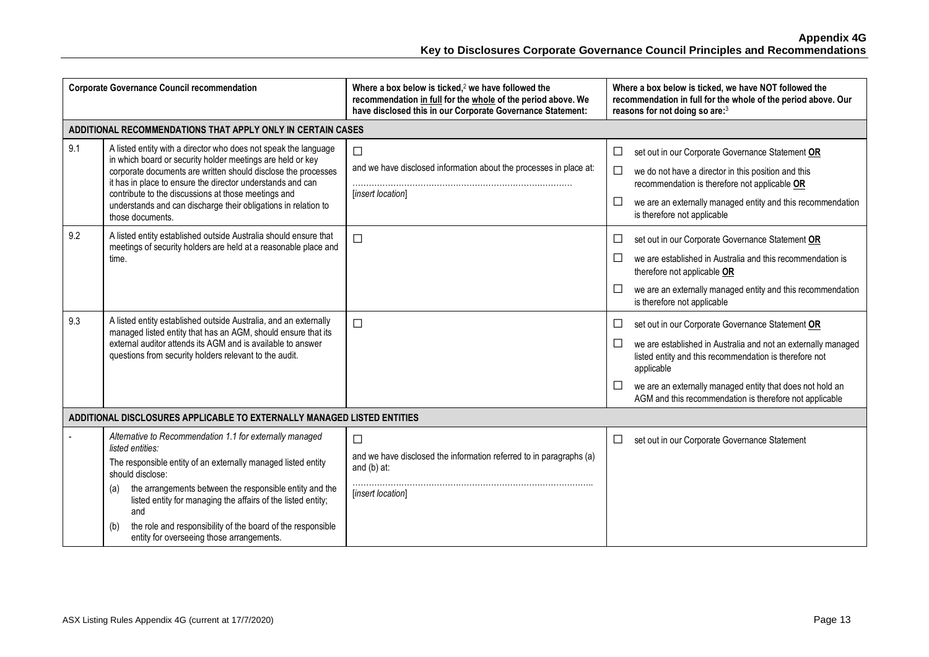| <b>Corporate Governance Council recommendation</b>                      |                                                                                                                                                                                                                                                                                                                                                                                                                               | Where a box below is ticked, $2$ we have followed the<br>recommendation in full for the whole of the period above. We<br>have disclosed this in our Corporate Governance Statement: | Where a box below is ticked, we have NOT followed the<br>recommendation in full for the whole of the period above. Our<br>reasons for not doing so are:3                                                                                                                                                                                   |  |  |  |
|-------------------------------------------------------------------------|-------------------------------------------------------------------------------------------------------------------------------------------------------------------------------------------------------------------------------------------------------------------------------------------------------------------------------------------------------------------------------------------------------------------------------|-------------------------------------------------------------------------------------------------------------------------------------------------------------------------------------|--------------------------------------------------------------------------------------------------------------------------------------------------------------------------------------------------------------------------------------------------------------------------------------------------------------------------------------------|--|--|--|
| ADDITIONAL RECOMMENDATIONS THAT APPLY ONLY IN CERTAIN CASES             |                                                                                                                                                                                                                                                                                                                                                                                                                               |                                                                                                                                                                                     |                                                                                                                                                                                                                                                                                                                                            |  |  |  |
| 9.1                                                                     | A listed entity with a director who does not speak the language<br>in which board or security holder meetings are held or key<br>corporate documents are written should disclose the processes<br>it has in place to ensure the director understands and can<br>contribute to the discussions at those meetings and<br>understands and can discharge their obligations in relation to<br>those documents.                     | $\Box$<br>and we have disclosed information about the processes in place at:<br>[insert location]                                                                                   | set out in our Corporate Governance Statement OR<br>$\Box$<br>$\Box$<br>we do not have a director in this position and this<br>recommendation is therefore not applicable OR<br>$\Box$<br>we are an externally managed entity and this recommendation<br>is therefore not applicable                                                       |  |  |  |
| 9.2                                                                     | A listed entity established outside Australia should ensure that<br>meetings of security holders are held at a reasonable place and<br>time.                                                                                                                                                                                                                                                                                  | $\Box$                                                                                                                                                                              | set out in our Corporate Governance Statement OR<br>⊔<br>$\Box$<br>we are established in Australia and this recommendation is<br>therefore not applicable OR<br>$\Box$<br>we are an externally managed entity and this recommendation<br>is therefore not applicable                                                                       |  |  |  |
| 9.3                                                                     | A listed entity established outside Australia, and an externally<br>managed listed entity that has an AGM, should ensure that its<br>external auditor attends its AGM and is available to answer<br>questions from security holders relevant to the audit.                                                                                                                                                                    | $\Box$                                                                                                                                                                              | set out in our Corporate Governance Statement OR<br>⊔<br>$\Box$<br>we are established in Australia and not an externally managed<br>listed entity and this recommendation is therefore not<br>applicable<br>$\Box$<br>we are an externally managed entity that does not hold an<br>AGM and this recommendation is therefore not applicable |  |  |  |
| ADDITIONAL DISCLOSURES APPLICABLE TO EXTERNALLY MANAGED LISTED ENTITIES |                                                                                                                                                                                                                                                                                                                                                                                                                               |                                                                                                                                                                                     |                                                                                                                                                                                                                                                                                                                                            |  |  |  |
|                                                                         | Alternative to Recommendation 1.1 for externally managed<br>listed entities:<br>The responsible entity of an externally managed listed entity<br>should disclose:<br>the arrangements between the responsible entity and the<br>(a)<br>listed entity for managing the affairs of the listed entity;<br>and<br>the role and responsibility of the board of the responsible<br>(b)<br>entity for overseeing those arrangements. | $\Box$<br>and we have disclosed the information referred to in paragraphs (a)<br>and (b) at:<br>[insert location]                                                                   | set out in our Corporate Governance Statement<br>$\Box$                                                                                                                                                                                                                                                                                    |  |  |  |